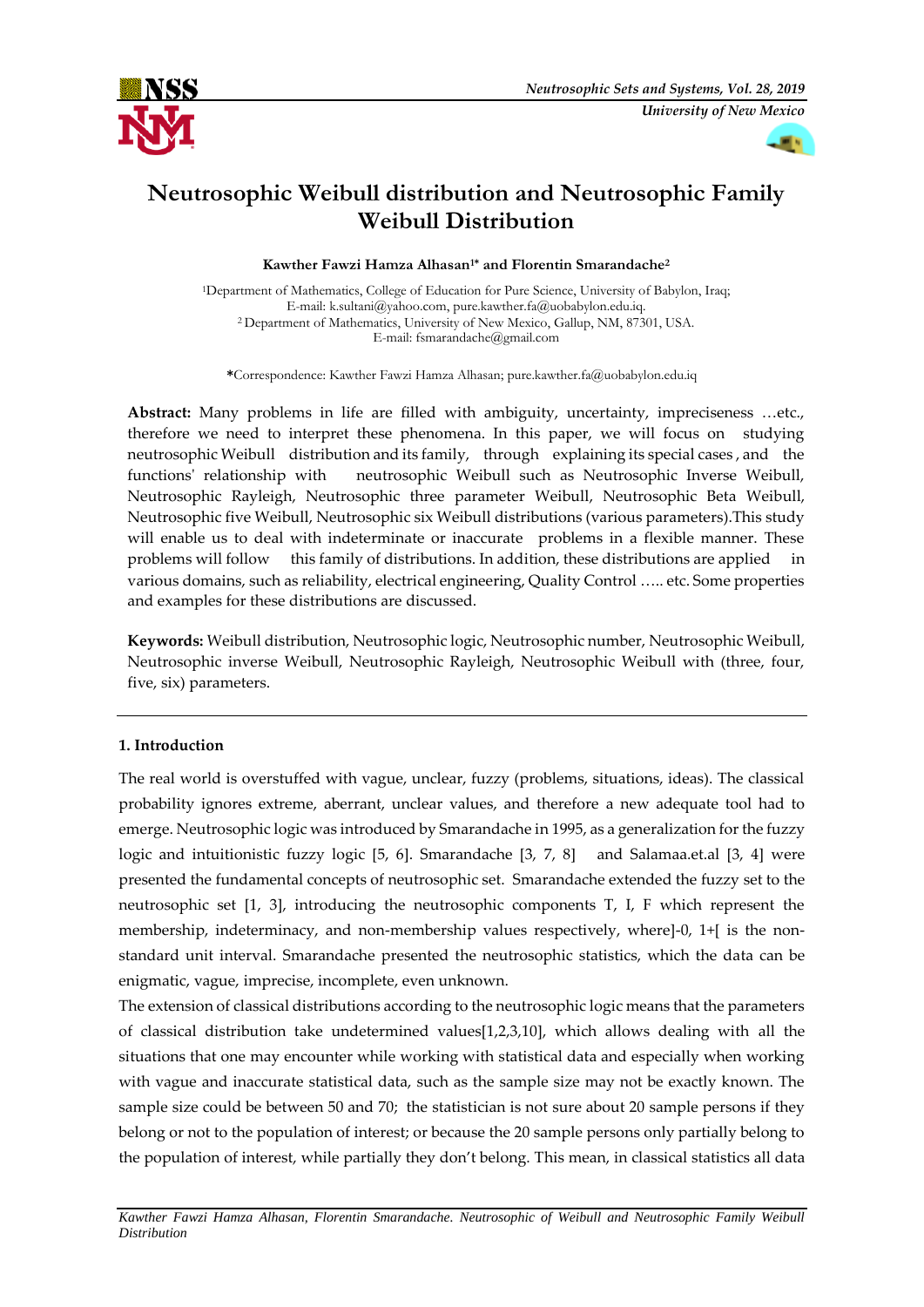



# **Neutrosophic Weibull distribution and Neutrosophic Family Weibull Distribution**

**Kawther Fawzi Hamza Alhasan1\* and Florentin Smarandache<sup>2</sup>**

<sup>1</sup>Department of Mathematics, College of Education for Pure Science, University of Babylon, Iraq; E-mail: k.sultani@yahoo.com, pure.kawther.fa@uobabylon.edu.iq. <sup>2</sup>Department of Mathematics, University of New Mexico, Gallup, NM, 87301, USA. E-mail: fsmarandache@gmail.com

**\***Correspondence: Kawther Fawzi Hamza Alhasan; pure.kawther.fa@uobabylon.edu.iq

**Abstract:** Many problems in life are filled with ambiguity, uncertainty, impreciseness …etc., therefore we need to interpret these phenomena. In this paper, we will focus on studying neutrosophic Weibull distribution and its family, through explaining its special cases , and the functions' relationship with neutrosophic Weibull such as Neutrosophic Inverse Weibull, Neutrosophic Rayleigh, Neutrosophic three parameter Weibull, Neutrosophic Beta Weibull, Neutrosophic five Weibull, Neutrosophic six Weibull distributions (various parameters).This study will enable us to deal with indeterminate or inaccurate problems in a flexible manner. These problems will follow this family of distributions. In addition, these distributions are applied in various domains, such as reliability, electrical engineering, Quality Control ….. etc. Some properties and examples for these distributions are discussed.

**Keywords:** Weibull distribution, Neutrosophic logic, Neutrosophic number, Neutrosophic Weibull, Neutrosophic inverse Weibull, Neutrosophic Rayleigh, Neutrosophic Weibull with (three, four, five, six) parameters.

# **1. Introduction**

The real world is overstuffed with vague, unclear, fuzzy (problems, situations, ideas). The classical probability ignores extreme, aberrant, unclear values, and therefore a new adequate tool had to emerge. Neutrosophic logic was introduced by Smarandache in 1995, as a generalization for the fuzzy logic and intuitionistic fuzzy logic [5, 6]. Smarandache [3, 7, 8] and Salamaa.et.al [3, 4] were presented the fundamental concepts of neutrosophic set. Smarandache extended the fuzzy set to the neutrosophic set [1, 3], introducing the neutrosophic components T, I, F which represent the membership, indeterminacy, and non-membership values respectively, where]-0, 1+[ is the nonstandard unit interval. Smarandache presented the neutrosophic statistics, which the data can be enigmatic, vague, imprecise, incomplete, even unknown.

The extension of classical distributions according to the neutrosophic logic means that the parameters of classical distribution take undetermined values[1,2,3,10], which allows dealing with all the situations that one may encounter while working with statistical data and especially when working with vague and inaccurate statistical data, such as the sample size may not be exactly known. The sample size could be between 50 and 70; the statistician is not sure about 20 sample persons if they belong or not to the population of interest; or because the 20 sample persons only partially belong to the population of interest, while partially they don't belong. This mean, in classical statistics all data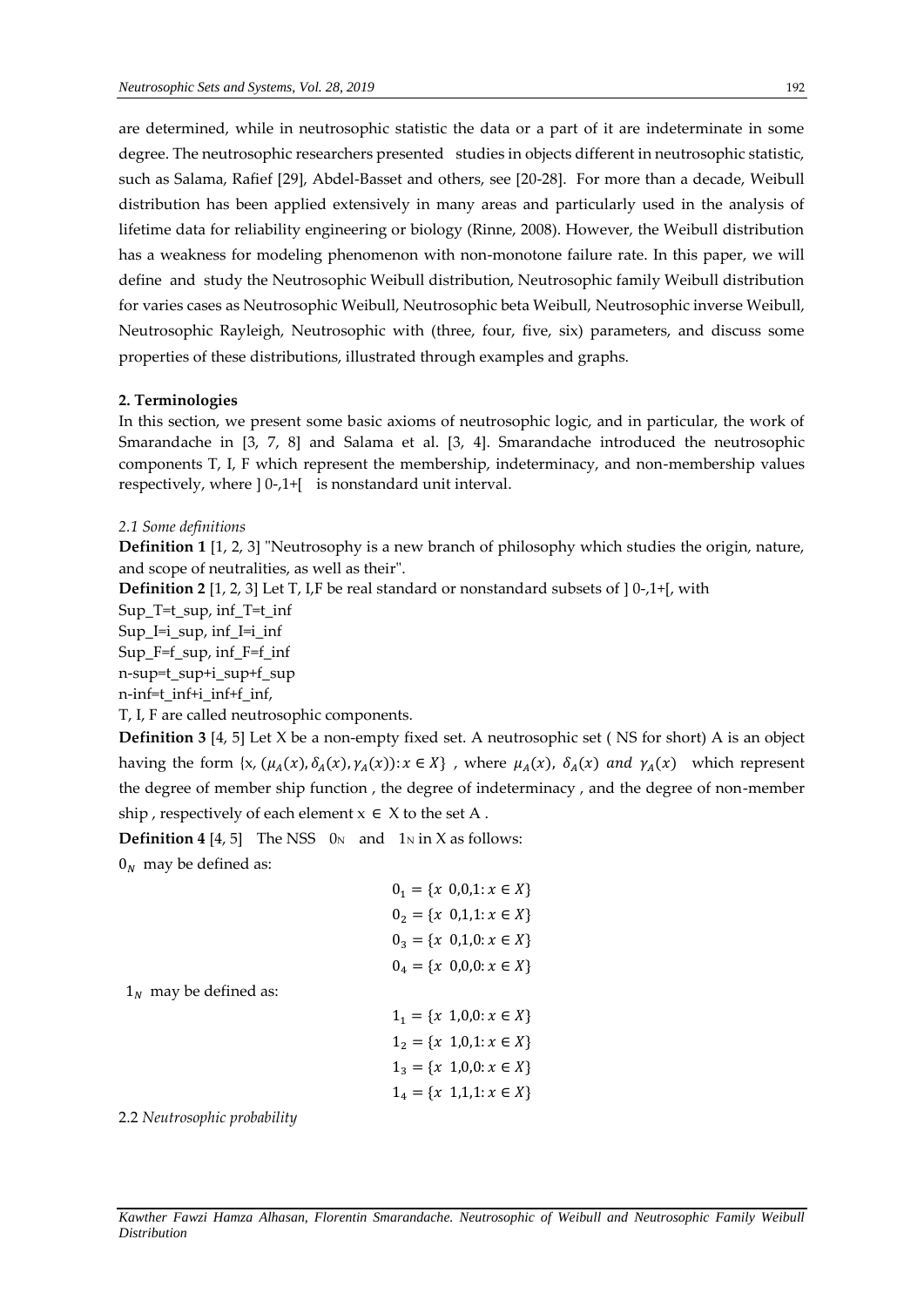are determined, while in neutrosophic statistic the data or a part of it are indeterminate in some degree. The neutrosophic researchers presented studies in objects different in neutrosophic statistic, such as Salama, Rafief [29], Abdel-Basset and others, see [20-28]. For more than a decade, Weibull distribution has been applied extensively in many areas and particularly used in the analysis of lifetime data for reliability engineering or biology (Rinne, 2008). However, the Weibull distribution has a weakness for modeling phenomenon with non-monotone failure rate. In this paper, we will define and study the Neutrosophic Weibull distribution, Neutrosophic family Weibull distribution for varies cases as Neutrosophic Weibull, Neutrosophic beta Weibull, Neutrosophic inverse Weibull, Neutrosophic Rayleigh, Neutrosophic with (three, four, five, six) parameters, and discuss some properties of these distributions, illustrated through examples and graphs.

## **2. Terminologies**

In this section, we present some basic axioms of neutrosophic logic, and in particular, the work of Smarandache in [3, 7, 8] and Salama et al. [3, 4]. Smarandache introduced the neutrosophic components T, I, F which represent the membership, indeterminacy, and non-membership values respectively, where ] 0-,1+[ is nonstandard unit interval.

## *2.1 Some definitions*

**Definition 1** [1, 2, 3] "Neutrosophy is a new branch of philosophy which studies the origin, nature, and scope of neutralities, as well as their".

**Definition 2** [1, 2, 3] Let T, I,F be real standard or nonstandard subsets of  $[0,1+[$ , with

Sup\_T=t\_sup, inf\_T=t\_inf

Sup\_I=i\_sup, inf\_I=i\_inf

Sup\_F=f\_sup, inf\_F=f\_inf

n-sup=t\_sup+i\_sup+f\_sup

n-inf=t\_inf+i\_inf+f\_inf,

T, I, F are called neutrosophic components.

**Definition 3** [4, 5] Let X be a non-empty fixed set. A neutrosophic set ( NS for short) A is an object having the form  $\{x, (\mu_A(x), \delta_A(x), \gamma_A(x)) : x \in X\}$ , where  $\mu_A(x)$ ,  $\delta_A(x)$  and  $\gamma_A(x)$  which represent the degree of member ship function , the degree of indeterminacy , and the degree of non-member ship , respectively of each element  $x \in X$  to the set A.

**Definition 4** [4, 5] The NSS  $0<sub>N</sub>$  and  $1<sub>N</sub>$  in X as follows:

 $0<sub>N</sub>$  may be defined as:

|                              | $0_1 = \{x \; 0, 0, 1 \colon x \in X\}$ |
|------------------------------|-----------------------------------------|
|                              | $0_2 = \{x \; 0,1,1: x \in X\}$         |
|                              | $0_3 = \{x \; 0,1,0: x \in X\}$         |
|                              | $0_4 = \{x \; 0,0,0 \colon x \in X\}$   |
| $1_N$ may be defined as:     |                                         |
|                              | $1_1 = \{x \; 1,0,0 \colon x \in X\}$   |
|                              | $1_2 = \{x \; 1, 0, 1 \colon x \in X\}$ |
|                              | $1_3 = \{x \; 1,0,0 : x \in X\}$        |
|                              | $1_4 = \{x \; 1, 1, 1 \colon x \in X\}$ |
| 2.2 Neutrosophic probability |                                         |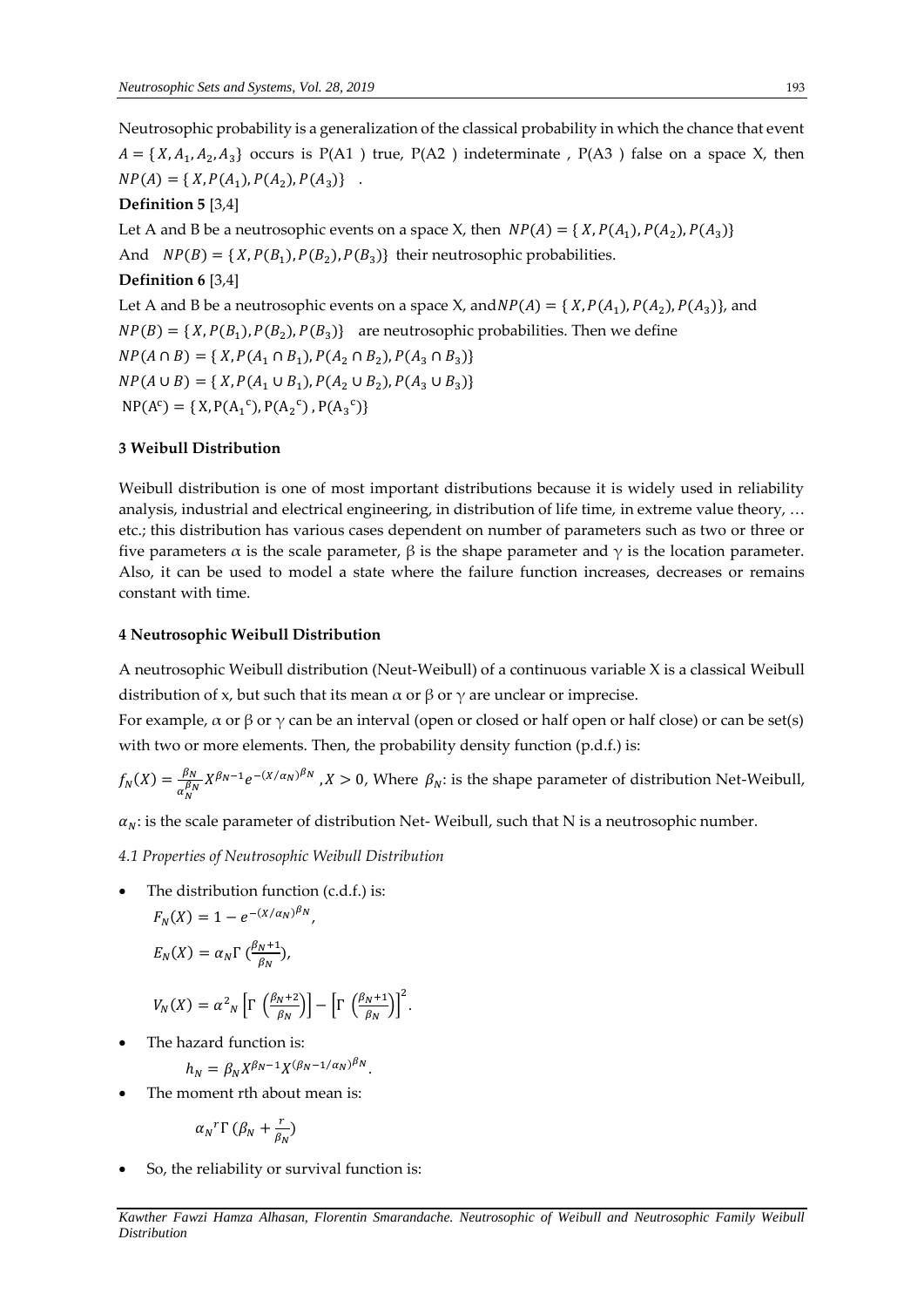Neutrosophic probability is a generalization of the classical probability in which the chance that event  $A = \{ X, A_1, A_2, A_3 \}$  occurs is P(A1) true, P(A2) indeterminate , P(A3) false on a space X, then  $NP(A) = \{ X, P(A_1), P(A_2), P(A_3) \}$ .

# **Definition 5** [3,4]

Let A and B be a neutrosophic events on a space X, then  $NP(A) = \{ X, P(A_1), P(A_2), P(A_3) \}$ And  $NP(B) = \{ X, P(B_1), P(B_2), P(B_3) \}$  their neutrosophic probabilities. **Definition 6** [3,4] Let A and B be a neutrosophic events on a space X, and  $NP(A) = \{ X, P(A_1), P(A_2), P(A_3) \}$ , and  $NP(B) = \{ X, P(B_1), P(B_2), P(B_3) \}$  are neutrosophic probabilities. Then we define  $NP(A \cap B) = \{ X, P(A_1 \cap B_1), P(A_2 \cap B_2), P(A_3 \cap B_3) \}$  $NP(A \cup B) = \{ X, P(A_1 \cup B_1), P(A_2 \cup B_2), P(A_3 \cup B_3) \}$  $NP(A^c) = \{ X, P(A_1^c), P(A_2^c), P(A_3^c) \}$ 

# **3 Weibull Distribution**

Weibull distribution is one of most important distributions because it is widely used in reliability analysis, industrial and electrical engineering, in distribution of life time, in extreme value theory, … etc.; this distribution has various cases dependent on number of parameters such as two or three or five parameters  $\alpha$  is the scale parameter,  $\beta$  is the shape parameter and  $\gamma$  is the location parameter. Also, it can be used to model a state where the failure function increases, decreases or remains constant with time.

# **4 Neutrosophic Weibull Distribution**

A neutrosophic Weibull distribution (Neut-Weibull) of a continuous variable X is a classical Weibull distribution of x, but such that its mean  $\alpha$  or  $\beta$  or  $\gamma$  are unclear or imprecise.

For example,  $\alpha$  or  $\beta$  or  $\gamma$  can be an interval (open or closed or half open or half close) or can be set(s) with two or more elements. Then, the probability density function (p.d.f.) is:

$$
f_N(X) = \frac{\beta_N}{\alpha_N^{\beta_N}} X^{\beta_N - 1} e^{-(X/\alpha_N)^{\beta_N}}, X > 0, \text{ Where } \beta_N \text{: is the shape parameter of distribution Net-Weibull,}
$$

 $\alpha_N$ : is the scale parameter of distribution Net-Weibull, such that N is a neutrosophic number.

*4.1 Properties of Neutrosophic Weibull Distribution*

 The distribution function (c.d.f.) is:  $F_N(X) = 1 - e^{-(X/\alpha_N)^{\beta_N}},$ 

$$
E_N(X) = \alpha_N \Gamma \left( \frac{\beta_N + 1}{\beta_N} \right),
$$

$$
V_N(X) = \alpha^2 \left[ \Gamma \left( \frac{\beta_N + 2}{\beta_N} \right) \right] - \left[ \Gamma \left( \frac{\beta_N + 1}{\beta_N} \right) \right]^2.
$$

The hazard function is:

$$
h_N = \beta_N X^{\beta_N - 1} X^{(\beta_N - 1/\alpha_N)\beta_N}.
$$

The moment rth about mean is:

$$
\alpha_N^r \Gamma \left(\beta_N + \frac{r}{\beta_N}\right)
$$

So, the reliability or survival function is: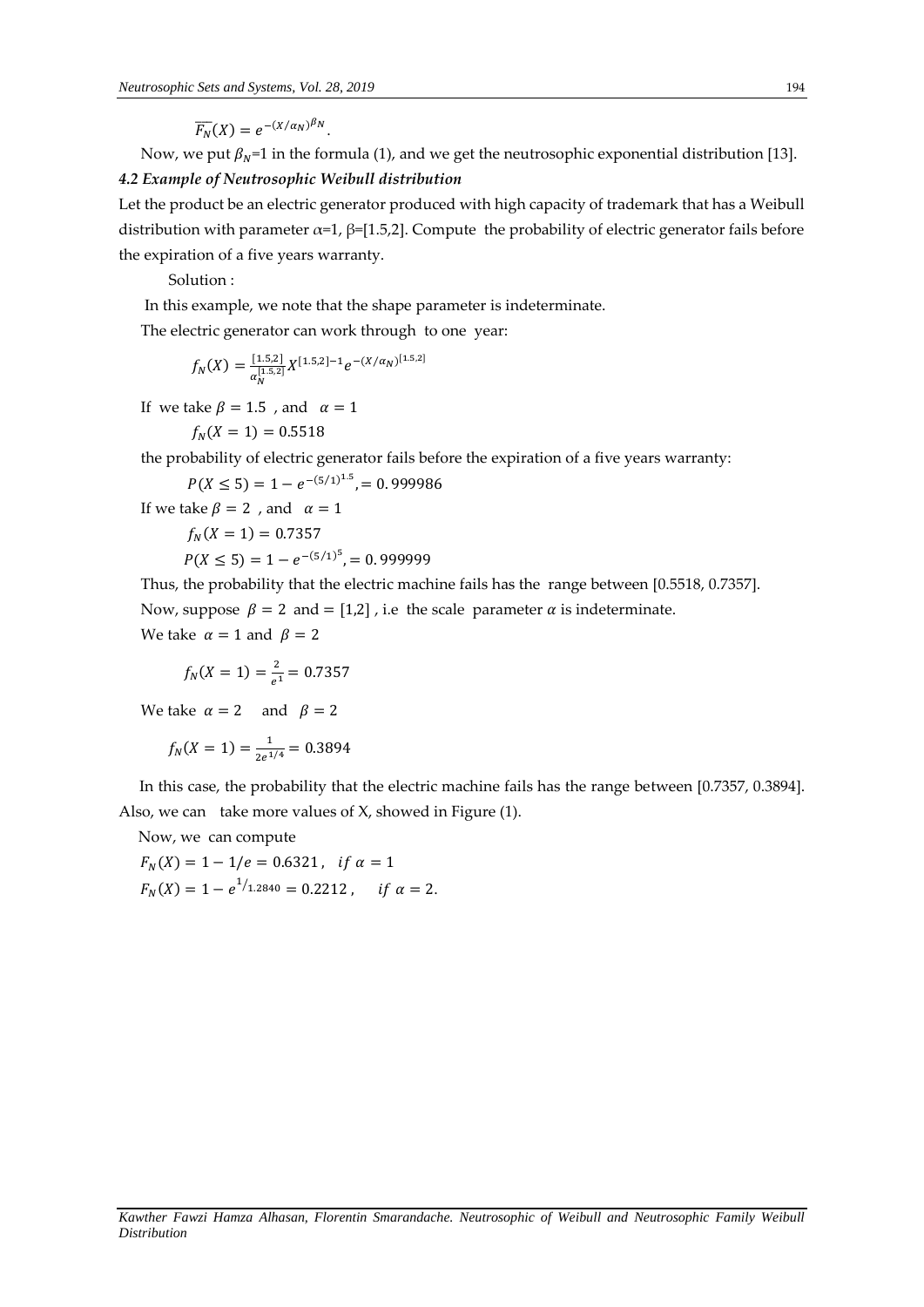$\overline{F_N}(X) = e^{-(X/\alpha_N)^{\beta_N}}.$ 

Now, we put  $\beta_N$ =1 in the formula (1), and we get the neutrosophic exponential distribution [13].

# *4.2 Example of Neutrosophic Weibull distribution*

Let the product be an electric generator produced with high capacity of trademark that has a Weibull distribution with parameter  $\alpha=1$ ,  $\beta=[1.5,2]$ . Compute the probability of electric generator fails before the expiration of a five years warranty.

Solution :

In this example, we note that the shape parameter is indeterminate.

The electric generator can work through to one year:

$$
f_N(X) = \frac{[1.5,2]}{\alpha_N^{[1.5,2]}} X^{[1.5,2]-1} e^{-(X/\alpha_N)^{[1.5,2]}}
$$

If we take  $\beta = 1.5$ , and  $\alpha = 1$ 

$$
f_N(X=1) = 0.5518
$$

the probability of electric generator fails before the expiration of a five years warranty:

$$
P(X \le 5) = 1 - e^{-(5/1)^{1.5}}, = 0.999986
$$

If we take  $\beta = 2$ , and  $\alpha = 1$ 

 $f_N(X = 1) = 0.7357$ 

$$
P(X \le 5) = 1 - e^{-(5/1)^5}, \quad = 0.9999999
$$

Thus, the probability that the electric machine fails has the range between [0.5518, 0.7357]. Now, suppose  $\beta = 2$  and  $= [1,2]$ , i.e the scale parameter  $\alpha$  is indeterminate. We take  $\alpha = 1$  and  $\beta = 2$ 

$$
f_N(X=1) = \frac{2}{e^1} = 0.7357
$$

We take  $\alpha = 2$  and  $\beta = 2$ 

$$
f_N(X=1) = \frac{1}{2e^{1/4}} = 0.3894
$$

 In this case, the probability that the electric machine fails has the range between [0.7357, 0.3894]. Also, we can take more values of X, showed in Figure (1).

Now, we can compute

$$
F_N(X) = 1 - 1/e = 0.6321, \text{ if } \alpha = 1
$$
  

$$
F_N(X) = 1 - e^{1/1.2840} = 0.2212, \text{ if } \alpha = 2.
$$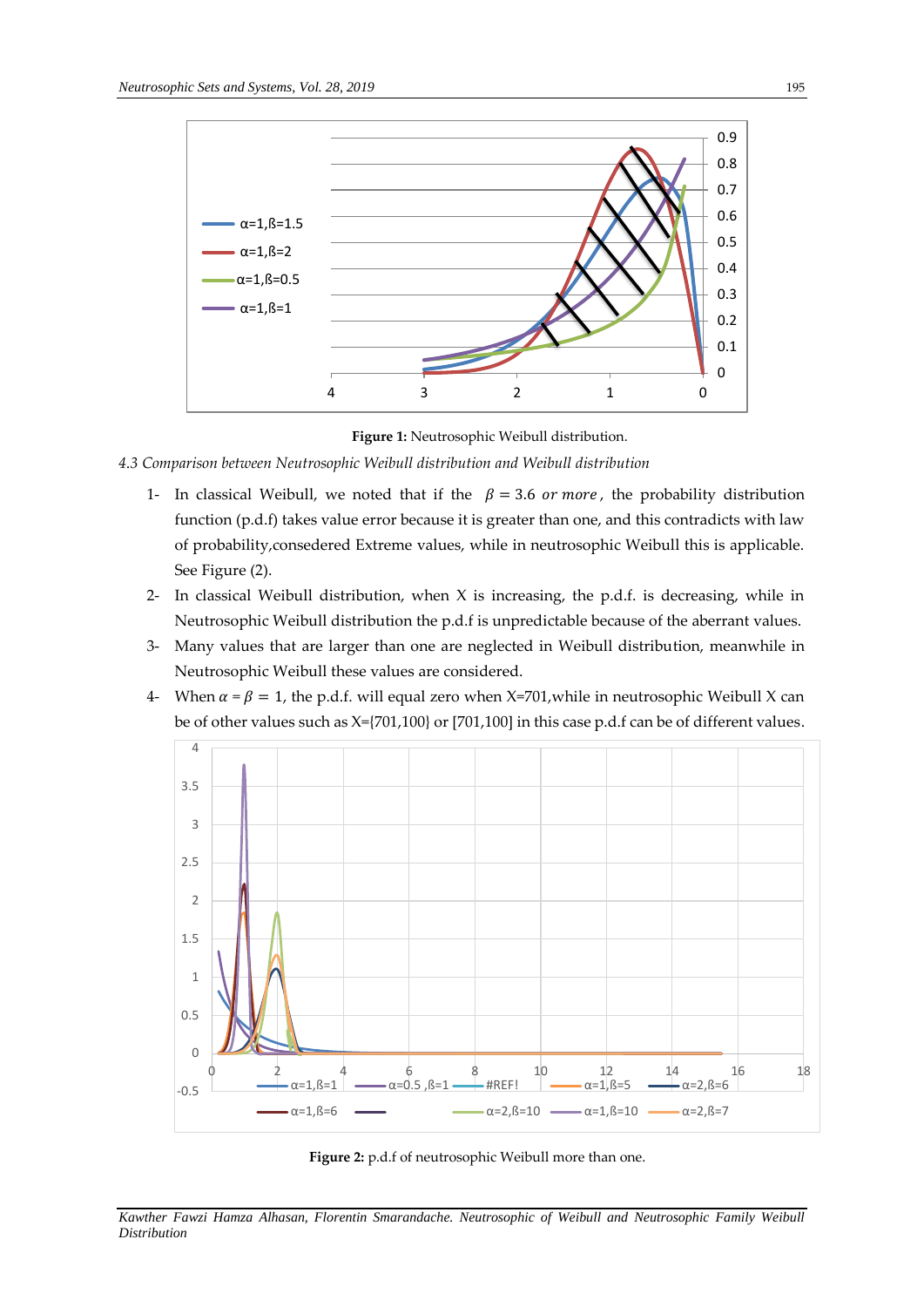

**Figure 1:** Neutrosophic Weibull distribution.

# *4.3 Comparison between Neutrosophic Weibull distribution and Weibull distribution*

- 1- In classical Weibull, we noted that if the  $\beta = 3.6$  or more, the probability distribution function  $(p.d.f)$  takes value error because it is greater than one, and this contradicts with law of probability,consedered Extreme values, while in neutrosophic Weibull this is applicable. See Figure (2).
- 2- In classical Weibull distribution, when  $X$  is increasing, the p.d.f. is decreasing, while in Neutrosophic Weibull distribution the p.d.f is unpredictable because of the aberrant values.
- 3- Many values that are larger than one are neglected in Weibull distribution, meanwhile in Neutrosophic Weibull these values are considered.
- 4- When  $\alpha = \beta = 1$ , the p.d.f. will equal zero when X=701, while in neutrosophic Weibull X can be of other values such as X={701,100} or [701,100] in this case p.d.f can be of different values.



**Figure 2:** p.d.f of neutrosophic Weibull more than one.

*Kawther Fawzi Hamza Alhasan, Florentin Smarandache. Neutrosophic of Weibull and Neutrosophic Family Weibull Distribution*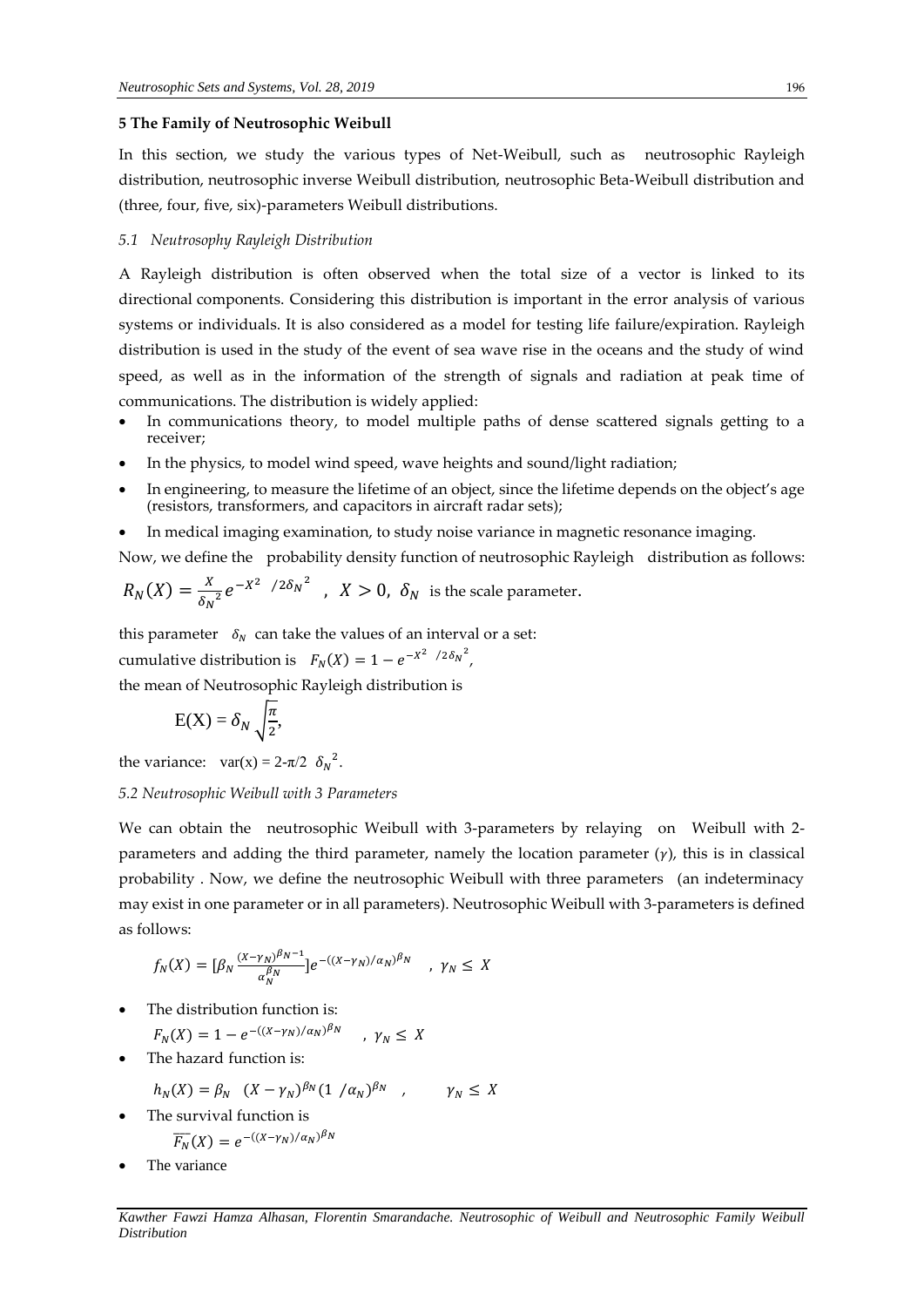#### **5 The Family of Neutrosophic Weibull**

In this section, we study the various types of Net-Weibull, such as neutrosophic Rayleigh distribution, neutrosophic inverse Weibull distribution, neutrosophic Beta-Weibull distribution and (three, four, five, six)-parameters Weibull distributions.

## *5.1 Neutrosophy Rayleigh Distribution*

A Rayleigh distribution is often observed when the total size of a vector is linked to its directional [components.](https://en.wikipedia.org/wiki/Euclidean_vector#Vector_components) Considering this distribution is important in the error analysis of various systems or individuals. It is also considered as a model for testing life failure/expiration. Rayleigh distribution is used in the study of the event of sea wave rise in the oceans and the study of wind speed, as well as in the information of the strength of signals and radiation at peak time of communications. The distribution is widely applied:

- In communications theory, to model multiple paths of dense scattered signals getting to a receiver;
- In the physics, to model wind speed, wave heights and sound/light radiation;
- In engineering, to measure the lifetime of an object, since the lifetime depends on the object's age (resistors, transformers, and capacitors in aircraft radar sets);
- In medical imaging examination, to study noise variance in magnetic resonance imaging.

Now, we define the probability density function of neutrosophic Rayleigh distribution as follows:

$$
R_N(X) = \frac{x}{\delta_N^2} e^{-X^2 / 2\delta_N^2}, \quad X > 0, \ \delta_N \text{ is the scale parameter.}
$$

this parameter  $\delta_N$  can take the values of an interval or a set: cumulative distribution is  $F_N(X) = 1 - e^{-X^2 / 2\delta_N^2}$ ,

the mean of Neutrosophic Rayleigh distribution is

$$
E(X) = \delta_N \sqrt{\frac{\pi}{2}},
$$

the variance:  $var(x) = 2-\pi/2 \delta_N^2$ .

# *5.2 Neutrosophic Weibull with 3 Parameters*

We can obtain the neutrosophic Weibull with 3-parameters by relaying on Weibull with 2 parameters and adding the third parameter, namely the location parameter  $(y)$ , this is in classical probability . Now, we define the neutrosophic Weibull with three parameters (an indeterminacy may exist in one parameter or in all parameters). Neutrosophic Weibull with 3-parameters is defined as follows:

$$
f_N(X) = \left[\beta_N \frac{(X-\gamma_N)^{\beta_N-1}}{\alpha_N^{\beta_N}}\right] e^{-\left((X-\gamma_N)/\alpha_N\right)^{\beta_N}}, \quad \gamma_N \leq X
$$

The distribution function is:

$$
F_N(X) = 1 - e^{-((X - \gamma_N)/\alpha_N)\beta_N} \quad , \quad \gamma_N \leq X
$$

The hazard function is:

$$
h_N(X) = \beta_N \ (X - \gamma_N)^{\beta_N} (1 / \alpha_N)^{\beta_N} , \qquad \gamma_N \leq X
$$

- The survival function is  $\overline{F_N}(X) = e^{-((X-\gamma_N)/\alpha_N)^{\beta_N}}$
- The variance

*Kawther Fawzi Hamza Alhasan, Florentin Smarandache. Neutrosophic of Weibull and Neutrosophic Family Weibull Distribution*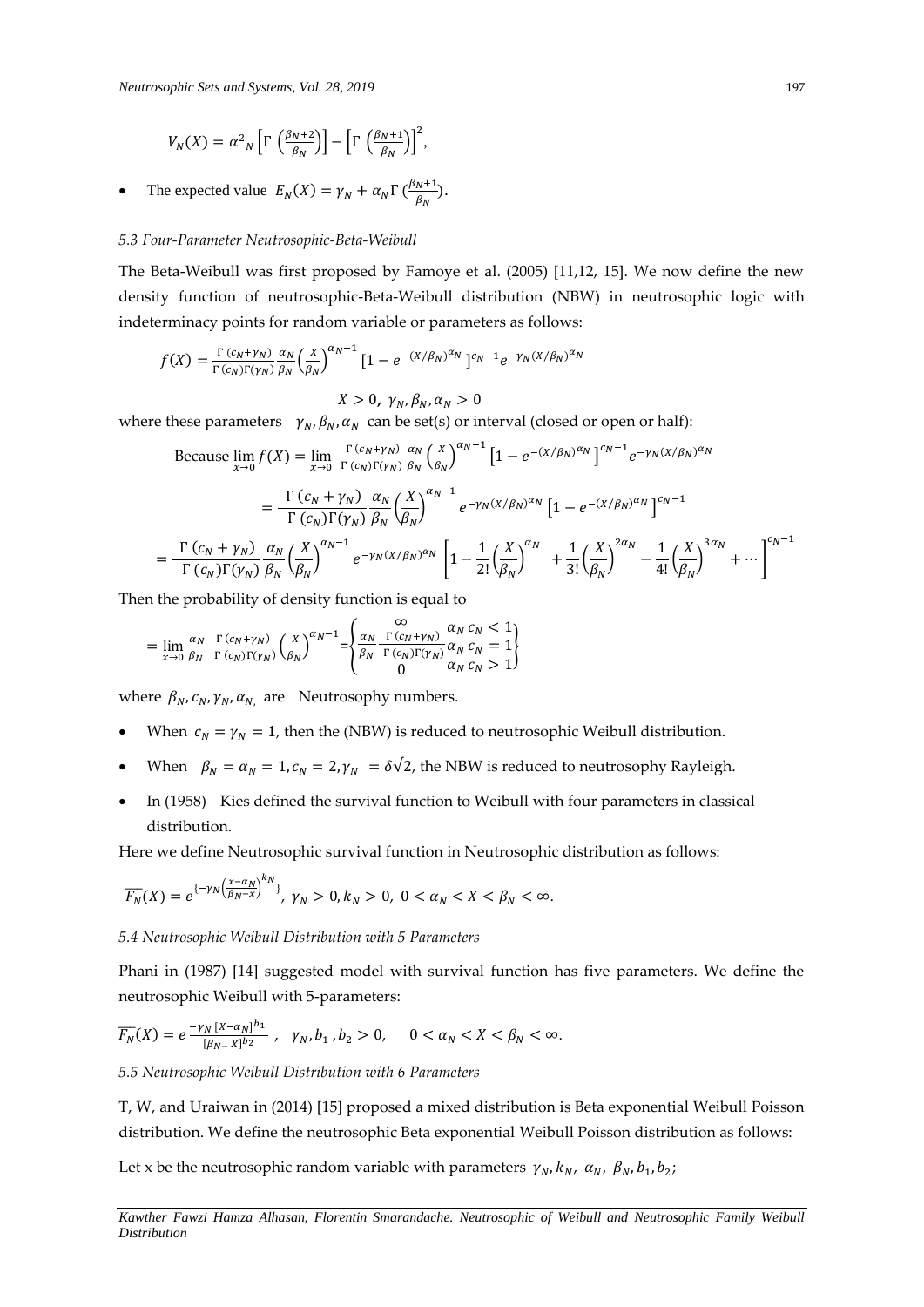$$
V_N(X) = \alpha^2_N \left[ \Gamma \left( \frac{\beta_N + 2}{\beta_N} \right) \right] - \left[ \Gamma \left( \frac{\beta_N + 1}{\beta_N} \right) \right]^2,
$$

• The expected value  $E_N(X) = \gamma_N + \alpha_N \Gamma \left( \frac{\beta_N + 1}{\beta_N} \right)$  $\frac{N+1}{\beta_N}$ ).

## *5.3 Four-Parameter Neutrosophic-Beta-Weibull*

The Beta-Weibull was first proposed by Famoye et al. (2005) [11,12, 15]. We now define the new density function of neutrosophic-Beta-Weibull distribution (NBW) in neutrosophic logic with indeterminacy points for random variable or parameters as follows:

$$
f(X) = \frac{\Gamma(c_N + \gamma_N)}{\Gamma(c_N)\Gamma(\gamma_N)} \frac{\alpha_N}{\beta_N} \left(\frac{X}{\beta_N}\right)^{\alpha_N - 1} \left[1 - e^{-(X/\beta_N)^{\alpha_N}}\right]^{c_N - 1} e^{-\gamma_N (X/\beta_N)^{\alpha_N}}
$$

$$
X>0, \gamma_N, \beta_N, \alpha_N>0
$$

where these parameters  $\gamma_N$ ,  $\beta_N$ ,  $\alpha_N$  can be set(s) or interval (closed or open or half):

Because 
$$
\lim_{x \to 0} f(X) = \lim_{x \to 0} \frac{\Gamma(c_N + \gamma_N)}{\Gamma(c_N)\Gamma(\gamma_N)} \frac{\alpha_N}{\beta_N} \left(\frac{x}{\beta_N}\right)^{\alpha_N - 1} \left[1 - e^{-(X/\beta_N)^{\alpha_N}}\right]^{\alpha_N - 1} e^{-\gamma_N (X/\beta_N)^{\alpha_N}}
$$

$$
= \frac{\Gamma(c_N + \gamma_N)}{\Gamma(c_N)\Gamma(\gamma_N)} \frac{\alpha_N}{\beta_N} \left(\frac{X}{\beta_N}\right)^{\alpha_N - 1} e^{-\gamma_N (X/\beta_N)^{\alpha_N}} \left[1 - e^{-(X/\beta_N)^{\alpha_N}}\right]^{\alpha_N - 1}
$$

$$
= \frac{\Gamma(c_N + \gamma_N)}{\Gamma(c_N)\Gamma(\gamma_N)} \frac{\alpha_N}{\beta_N} \left(\frac{X}{\beta_N}\right)^{\alpha_N - 1} e^{-\gamma_N (X/\beta_N)^{\alpha_N}} \left[1 - \frac{1}{2!} \left(\frac{X}{\beta_N}\right)^{\alpha_N} + \frac{1}{3!} \left(\frac{X}{\beta_N}\right)^{2\alpha_N} - \frac{1}{4!} \left(\frac{X}{\beta_N}\right)^{3\alpha_N} + \cdots\right]^{\alpha_N - 1}
$$

Then the probability of density function is equal to

$$
= \lim_{x \to 0} \frac{\alpha_N}{\beta_N} \frac{\Gamma(c_N + \gamma_N)}{\Gamma(c_N)\Gamma(\gamma_N)} \left(\frac{x}{\beta_N}\right)^{\alpha_N - 1} = \begin{cases} \infty & \alpha_N \ c_N + \gamma_N \alpha_N & \alpha_N < 1\\ \frac{\alpha_N}{\beta_N} \frac{\Gamma(c_N + \gamma_N)}{\Gamma(c_N)\Gamma(\gamma_N)} & \alpha_N < N < 1\\ 0 & \alpha_N < N > 1 \end{cases}
$$

where  $\beta_N$ ,  $c_N$ ,  $\gamma_N$ ,  $\alpha_N$  are Neutrosophy numbers.

- When  $c_N = \gamma_N = 1$ , then the (NBW) is reduced to neutrosophic Weibull distribution.
- When  $\beta_N = \alpha_N = 1$ ,  $c_N = 2$ ,  $\gamma_N = \delta \sqrt{2}$ , the NBW is reduced to neutrosophy Rayleigh.
- In (1958) Kies defined the survival function to Weibull with four parameters in classical distribution.

Here we define Neutrosophic survival function in Neutrosophic distribution as follows:

$$
\overline{F_N}(X)=e^{\{-\gamma_N\left(\frac{x-\alpha_N}{\beta_N-x}\right)^{k_N}\}},\ \gamma_N>0, k_N>0,\ 0<\alpha_N
$$

*5.4 Neutrosophic Weibull Distribution with 5 Parameters*

Phani in (1987) [14] suggested model with survival function has five parameters. We define the neutrosophic Weibull with 5-parameters:

$$
\overline{F_N}(X) = e^{\frac{-\gamma_N [X - \alpha_N]^{b_1}}{[\beta_{N-} X]^{b_2}}}, \quad \gamma_N, b_1, b_2 > 0, \quad 0 < a_N < X < \beta_N < \infty.
$$

*5.5 Neutrosophic Weibull Distribution with 6 Parameters*

T, W, and Uraiwan in (2014) [15] proposed a mixed distribution is Beta exponential Weibull Poisson distribution. We define the neutrosophic Beta exponential Weibull Poisson distribution as follows:

Let x be the neutrosophic random variable with parameters  $\gamma_N, k_N, \alpha_N, \beta_N, b_1, b_2$ ;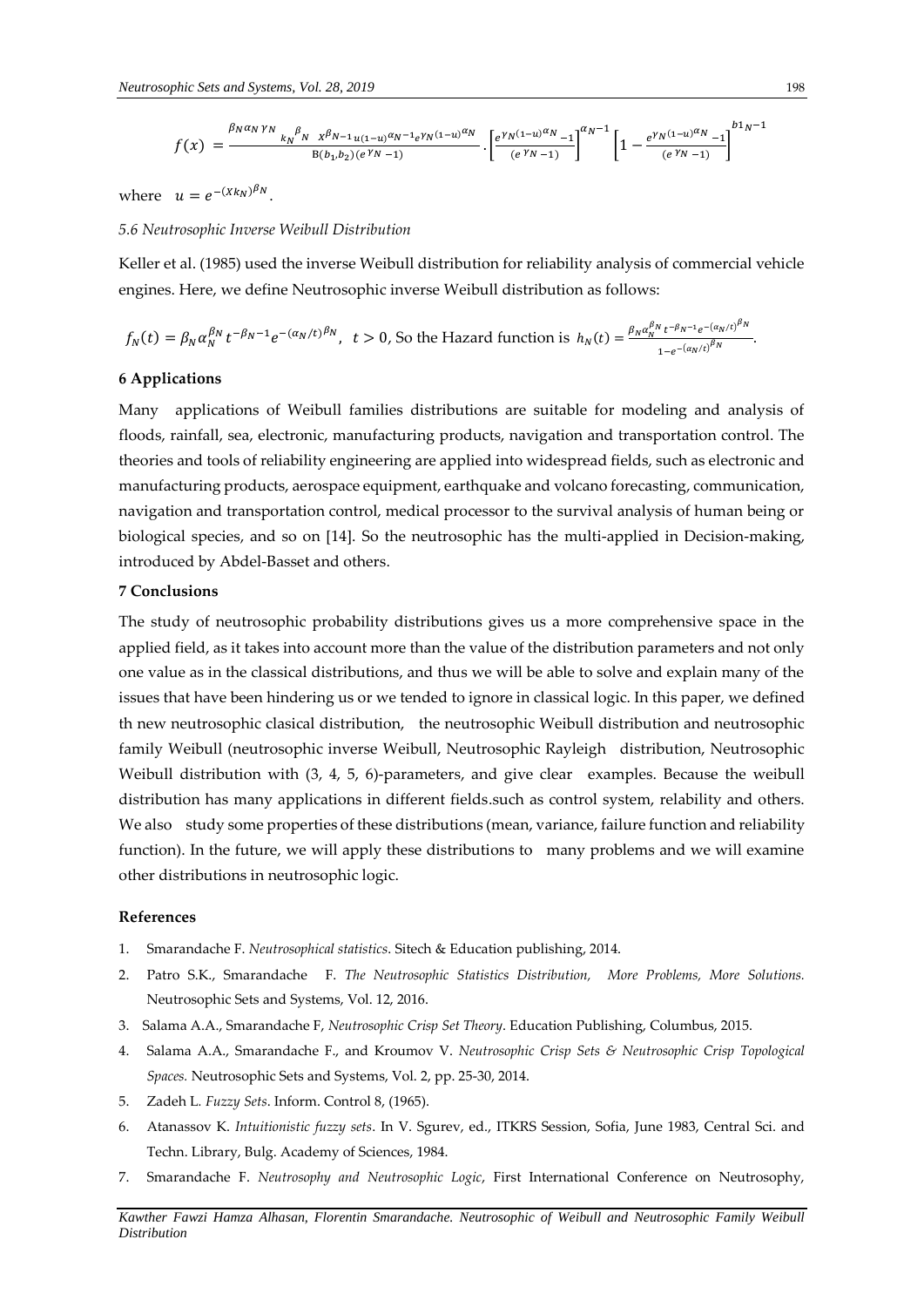$$
f(x) = \frac{\frac{\beta_N \alpha_N \gamma_N}{k_N} \frac{\beta_N}{N} \frac{\chi \beta_{N-1}}{\chi \left(1-u\right)^{\alpha_N-1} e^{\gamma_N \left(1-u\right)^{\alpha_N}}}{B(b_1, b_2)(e^{\gamma_N} - 1)} \cdot \left[\frac{e^{\gamma_N \left(1-u\right)^{\alpha_N} - 1}}{e^{\gamma_N - 1}}\right]^{a_N - 1} \left[1 - \frac{e^{\gamma_N \left(1-u\right)^{\alpha_N} - 1}}{e^{\gamma_N - 1}}\right]^{b_1 \gamma - 1}}
$$

where  $u = e^{-(Xk_N)^{\beta_N}}$ .

## *5.6 Neutrosophic Inverse Weibull Distribution*

Keller et al. (1985) used the inverse Weibull distribution for reliability analysis of commercial vehicle engines. Here, we define Neutrosophic inverse Weibull distribution as follows:

$$
f_N(t) = \beta_N \alpha_N^{\beta_N} t^{-\beta_N - 1} e^{-(\alpha_N/t)^{\beta_N}}, \quad t > 0,
$$
 So the Hazard function is 
$$
h_N(t) = \frac{\beta_N \alpha_N^{\beta_N} t^{-\beta_N - 1} e^{-(\alpha_N/t)^{\beta_N}}}{1 - e^{-(\alpha_N/t)^{\beta_N}}}.
$$

## **6 Applications**

Many applications of Weibull families distributions are suitable for modeling and analysis of floods, rainfall, sea, electronic, manufacturing products, navigation and transportation control. The theories and tools of reliability engineering are applied into widespread fields, such as electronic and manufacturing products, aerospace equipment, earthquake and volcano forecasting, communication, navigation and transportation control, medical processor to the survival analysis of human being or biological species, and so on [14]. So the neutrosophic has the multi-applied in Decision-making, introduced by Abdel-Basset and others.

## **7 Conclusions**

The study of neutrosophic probability distributions gives us a more comprehensive space in the applied field, as it takes into account more than the value of the distribution parameters and not only one value as in the classical distributions, and thus we will be able to solve and explain many of the issues that have been hindering us or we tended to ignore in classical logic. In this paper, we defined th new neutrosophic clasical distribution, the neutrosophic Weibull distribution and neutrosophic family Weibull (neutrosophic inverse Weibull, Neutrosophic Rayleigh distribution, Neutrosophic Weibull distribution with (3, 4, 5, 6)-parameters, and give clear examples. Because the weibull distribution has many applications in different fields.such as control system, relability and others. We also study some properties of these distributions (mean, variance, failure function and reliability function). In the future, we will apply these distributions to many problems and we will examine other distributions in neutrosophic logic.

## **References**

- 1. Smarandache F. *Neutrosophical statistics*. Sitech & Education publishing, 2014.
- 2. Patro S.K., Smarandache F. *The Neutrosophic Statistics Distribution, More Problems, More Solutions.* Neutrosophic Sets and Systems, Vol. 12, 2016.
- 3. Salama A.A., Smarandache F, *Neutrosophic Crisp Set Theory*. Education Publishing, Columbus, 2015.
- 4. Salama A.A., Smarandache F., and Kroumov V. *Neutrosophic Crisp Sets & Neutrosophic Crisp Topological Spaces.* Neutrosophic Sets and Systems, Vol. 2, pp. 25-30, 2014.
- 5. Zadeh L*. Fuzzy Sets*. Inform. Control 8, (1965).
- 6. Atanassov K. *Intuitionistic fuzzy sets*. In V. Sgurev, ed., ITKRS Session, Sofia, June 1983, Central Sci. and Techn. Library, Bulg. Academy of Sciences, 1984.
- 7. Smarandache F. *Neutrosophy and Neutrosophic Logic*, First International Conference on Neutrosophy,